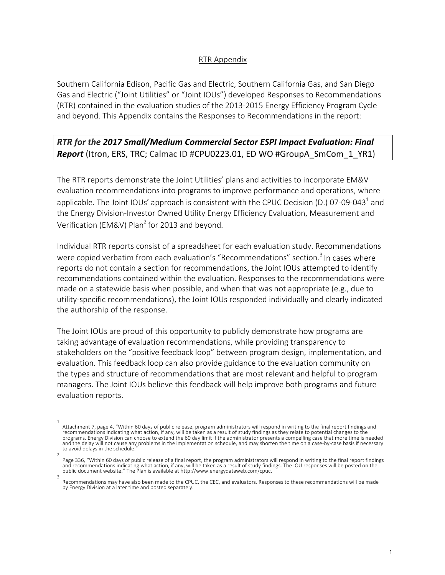## RTR Appendix

Southern California Edison, Pacific Gas and Electric, Southern California Gas, and San Diego Gas and Electric ("Joint Utilities" or "Joint IOUs") developed Responses to Recommendations (RTR) contained in the evaluation studies of the 2013-2015 Energy Efficiency Program Cycle and beyond. This Appendix contains the Responses to Recommendations in the report:

## *RTR for the 2017 Small/Medium Commercial Sector ESPI Impact Evaluation: Final Report* (Itron, ERS, TRC; Calmac ID #CPU0223.01, ED WO #GroupA SmCom 1 YR1)

The RTR reports demonstrate the Joint Utilities' plans and activities to incorporate EM&V evaluation recommendations into programs to improve performance and operations, where applicable. The Joint IOUs' approach is consistent with the CPUC Decision (D.) 07-09-043<sup>1</sup> and the Energy Division-Investor Owned Utility Energy Efficiency Evaluation, Measurement and Verification (EM&V) Plan<sup>2</sup> for 2013 and beyond.

Individual RTR reports consist of a spreadsheet for each evaluation study. Recommendations were copied verbatim from each evaluation's "Recommendations" section.<sup>3</sup> In cases where reports do not contain a section for recommendations, the Joint IOUs attempted to identify recommendations contained within the evaluation. Responses to the recommendations were made on a statewide basis when possible, and when that was not appropriate (e.g., due to utility-specific recommendations), the Joint IOUs responded individually and clearly indicated the authorship of the response.

The Joint IOUs are proud of this opportunity to publicly demonstrate how programs are taking advantage of evaluation recommendations, while providing transparency to stakeholders on the "positive feedback loop" between program design, implementation, and evaluation. This feedback loop can also provide guidance to the evaluation community on the types and structure of recommendations that are most relevant and helpful to program managers. The Joint IOUs believe this feedback will help improve both programs and future evaluation reports.

<sup>1</sup>  Attachment 7, page 4, "Within 60 days of public release, program administrators will respond in writing to the final report findings and recommendations indicating what action, if any, will be taken as a result of study findings as they relate to potential changes to the programs. Energy Division can choose to extend the 60 day limit if the administrator presents a compelling case that more time is needed and the delay will not cause any problems in the implementation schedule, and may shorten the time on a case-by-case basis if necessary to avoid delays in the schedule.

<sup>2</sup>  Page 336, "Within 60 days of public release of a final report, the program administrators will respond in writing to the final report findings and recommendations indicating what action, if any, will be taken as a result of study findings. The IOU responses will be posted on the<br>public document website." The Plan is available at http://www.energydataweb.com/cpuc.

Recommendations may have also been made to the CPUC, the CEC, and evaluators. Responses to these recommendations will be made by Energy Division at a later time and posted separately.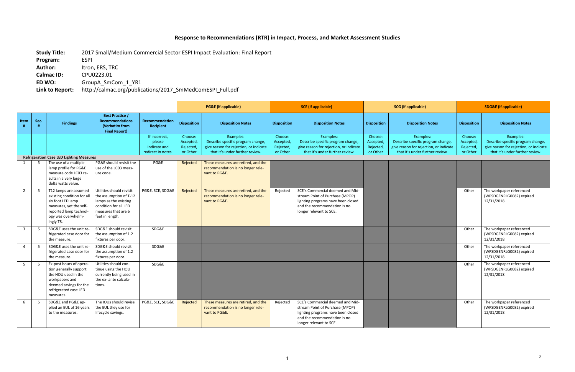## **Response to Recommendations (RTR) in Impact, Process, and Market Assessment Studies**

**Study Title:** 2017 Small/Medium Commercial Sector ESPI Impact Evaluation: Final Report

**Program:** ESPI

**Author:** Itron, ERS, TRC **Calmac ID:** CPU0223.01

**ED WO:** GroupA\_SmCom\_1\_YR1

**Link to Report:** http://calmac.org/publications/2017\_SmMedComESPI\_Full.pdf

|                |      |                                                                                                                                                                  |                                                                                                                                                |                                                               |                                               | <b>PG&amp;E</b> (if applicable)                                                                                             |                                               | <b>SCE</b> (if applicable)                                                                                                                                           |                                               | <b>SCG</b> (if applicable)                                                                                                  | <b>SDG&amp;E</b> (if applicable)              |                                                                                                                             |  |  |
|----------------|------|------------------------------------------------------------------------------------------------------------------------------------------------------------------|------------------------------------------------------------------------------------------------------------------------------------------------|---------------------------------------------------------------|-----------------------------------------------|-----------------------------------------------------------------------------------------------------------------------------|-----------------------------------------------|----------------------------------------------------------------------------------------------------------------------------------------------------------------------|-----------------------------------------------|-----------------------------------------------------------------------------------------------------------------------------|-----------------------------------------------|-----------------------------------------------------------------------------------------------------------------------------|--|--|
| Item           | Sec. | <b>Findings</b>                                                                                                                                                  | <b>Best Practice /</b><br><b>Recommendations</b><br>(Verbatim from<br><b>Final Report)</b>                                                     | <b>Recommendation</b><br>Recipient                            | <b>Disposition</b>                            | <b>Disposition Notes</b>                                                                                                    | <b>Disposition</b>                            | <b>Disposition Notes</b>                                                                                                                                             | <b>Disposition</b>                            | <b>Disposition Notes</b>                                                                                                    | <b>Disposition</b>                            | <b>Disposition Notes</b>                                                                                                    |  |  |
|                |      |                                                                                                                                                                  |                                                                                                                                                | If incorrect,<br>please<br>indicate and<br>redirect in notes. | Choose:<br>Accepted,<br>Rejected,<br>or Other | Examples:<br>Describe specific program change,<br>give reason for rejection, or indicate<br>that it's under further review. | Choose:<br>Accepted,<br>Rejected,<br>or Other | Examples:<br>Describe specific program change,<br>give reason for rejection, or indicate<br>that it's under further review.                                          | Choose:<br>Accepted,<br>Rejected,<br>or Other | Examples:<br>Describe specific program change,<br>give reason for rejection, or indicate<br>that it's under further review. | Choose:<br>Accepted,<br>Rejected,<br>or Other | Examples:<br>Describe specific program change,<br>give reason for rejection, or indicate<br>that it's under further review. |  |  |
|                |      | <b>Refrigeration Case LED Lighting Measures</b>                                                                                                                  |                                                                                                                                                |                                                               |                                               |                                                                                                                             |                                               |                                                                                                                                                                      |                                               |                                                                                                                             |                                               |                                                                                                                             |  |  |
|                | 5    | The use of a multiple<br>lamp profile for PG&E<br>measure code LC03 re-<br>sults in a very large<br>delta watts value.                                           | PG&E should revisit the<br>use of the LC03 meas-<br>ure code.                                                                                  | PG&E                                                          | Rejected                                      | These measures are retired, and the<br>recommendation is no longer rele-<br>vant to PG&E.                                   |                                               |                                                                                                                                                                      |                                               |                                                                                                                             |                                               |                                                                                                                             |  |  |
| $\overline{2}$ | 5    | T12 lamps are assumed<br>existing condition for all<br>six foot LED lamp<br>measures, yet the self-<br>reported lamp technol-<br>ogy was overwhelm-<br>ingly T8. | Utilities should revisit<br>the assumption of T-12<br>lamps as the existing<br>condition for all LED<br>measures that are 6<br>feet in length. | PG&E, SCE, SDG&E                                              | Rejected                                      | These measures are retired, and the<br>recommendation is no longer rele-<br>vant to PG&E.                                   | Rejected                                      | SCE's Commercial deemed and Mid-<br>stream Point of Purchase (MPOP)<br>lighting programs have been closed<br>and the recommendation is no<br>longer relevant to SCE. |                                               |                                                                                                                             | Other                                         | The workpaper referenced<br>(WPSDGENRLG0082) expired<br>12/31/2018.                                                         |  |  |
| $\overline{3}$ | -5   | SDG&E uses the unit re-<br>frigerated case door for<br>the measure.                                                                                              | SDG&E should revisit<br>the assumption of 1.2<br>fixtures per door.                                                                            | SDG&E                                                         |                                               |                                                                                                                             |                                               |                                                                                                                                                                      |                                               |                                                                                                                             | Other                                         | The workpaper referenced<br>(WPSDGENRLG0082) expired<br>12/31/2018.                                                         |  |  |
| $\overline{4}$ | -5   | SDG&E uses the unit re-<br>frigerated case door for<br>the measure.                                                                                              | SDG&E should revisit<br>the assumption of 1.2<br>fixtures per door.                                                                            | SDG&E                                                         |                                               |                                                                                                                             |                                               |                                                                                                                                                                      |                                               |                                                                                                                             | Other                                         | The workpaper referenced<br>(WPSDGENRLG0082) expired<br>12/31/2018.                                                         |  |  |
| $5^{\circ}$    | 5    | Ex-post hours of opera-<br>tion generally support<br>the HOU used in the<br>workpapers and<br>deemed savings for the<br>refrigerated case LED<br>measures.       | Utilities should con-<br>tinue using the HOU<br>currently being used in<br>the ex- ante calcula-<br>tions.                                     | SDG&E                                                         |                                               |                                                                                                                             |                                               |                                                                                                                                                                      |                                               |                                                                                                                             | Other                                         | The workpaper referenced<br>(WPSDGENRLG0082) expired<br>12/31/2018.                                                         |  |  |
| 6              | -5   | SDG&E and PG&E ap-<br>plied an EUL of 16 years<br>to the measures.                                                                                               | The IOUs should revise<br>the EUL they use for<br>lifecycle savings.                                                                           | PG&E, SCE, SDG&E                                              | Rejected                                      | These measures are retired, and the<br>recommendation is no longer rele-<br>vant to PG&E.                                   | Rejected                                      | SCE's Commercial deemed and Mid-<br>stream Point of Purchase (MPOP)<br>lighting programs have been closed<br>and the recommendation is no<br>longer relevant to SCE. |                                               |                                                                                                                             | Other                                         | The workpaper referenced<br>(WPSDGENRLG0082) expired<br>12/31/2018.                                                         |  |  |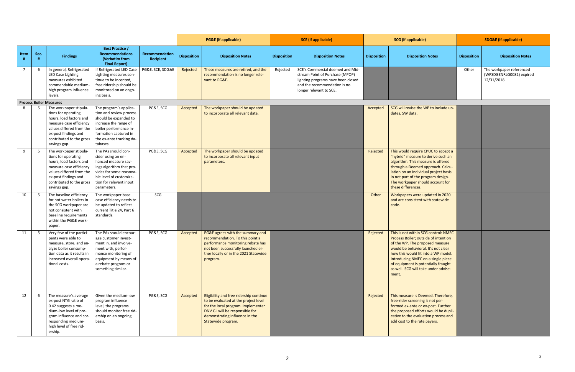|                |      |                                                                                                                                                                                                                 |                                                                                                                                                                                                |                             |                    | <b>PG&amp;E</b> (if applicable)                                                                                                                                                                                 |                    | <b>SCE</b> (if applicable)                                                                                                                                           |                    | <b>SCG</b> (if applicable)                                                                                                                                                                                                                                                                                                  |                    | <b>SDG&amp;E</b> (if applicable)                                    |
|----------------|------|-----------------------------------------------------------------------------------------------------------------------------------------------------------------------------------------------------------------|------------------------------------------------------------------------------------------------------------------------------------------------------------------------------------------------|-----------------------------|--------------------|-----------------------------------------------------------------------------------------------------------------------------------------------------------------------------------------------------------------|--------------------|----------------------------------------------------------------------------------------------------------------------------------------------------------------------|--------------------|-----------------------------------------------------------------------------------------------------------------------------------------------------------------------------------------------------------------------------------------------------------------------------------------------------------------------------|--------------------|---------------------------------------------------------------------|
| Item           | Sec. | <b>Findings</b>                                                                                                                                                                                                 | <b>Best Practice /</b><br><b>Recommendations</b><br>(Verbatim from<br><b>Final Report)</b>                                                                                                     | Recommendation<br>Recipient | <b>Disposition</b> | <b>Disposition Notes</b>                                                                                                                                                                                        | <b>Disposition</b> | <b>Disposition Notes</b>                                                                                                                                             | <b>Disposition</b> | <b>Disposition Notes</b>                                                                                                                                                                                                                                                                                                    | <b>Disposition</b> | <b>Disposition Notes</b>                                            |
| $\overline{7}$ |      | In general, Refrigerated<br>LED Case Lighting<br>measures exhibited<br>commendable medium-<br>high program influence<br>levels.                                                                                 | If Refrigerated LED Case<br>Lighting measures con-<br>tinue to be incented,<br>free ridership should be<br>monitored on an ongo-<br>ing basis.                                                 | PG&E, SCE, SDG&E            | Rejected           | These measures are retired, and the<br>recommendation is no longer rele-<br>vant to PG&E.                                                                                                                       | Rejected           | SCE's Commercial deemed and Mid-<br>stream Point of Purchase (MPOP)<br>lighting programs have been closed<br>and the recommendation is no<br>longer relevant to SCE. |                    |                                                                                                                                                                                                                                                                                                                             | Other              | The workpaper referenced<br>(WPSDGENRLG0082) expired<br>12/31/2018. |
|                |      | <b>Process Boiler Measures</b>                                                                                                                                                                                  |                                                                                                                                                                                                |                             |                    |                                                                                                                                                                                                                 |                    |                                                                                                                                                                      |                    |                                                                                                                                                                                                                                                                                                                             |                    |                                                                     |
| - 8            |      | The workpaper stipula-<br>tions for operating<br>hours, load factors and<br>measure case efficiency<br>values differed from the<br>ex-post findings and<br>contributed to the gross<br>savings gap.             | The program's applica-<br>tion and review process<br>should be expanded to<br>increase the range of<br>boiler performance in-<br>formation captured in<br>the ex-ante tracking da-<br>tabases. | PG&E, SCG                   | Accepted           | The workpaper should be updated<br>to incorporate all relevant data.                                                                                                                                            |                    |                                                                                                                                                                      | Accepted           | SCG will revise the WP to include up-<br>dates, SW data.                                                                                                                                                                                                                                                                    |                    |                                                                     |
| 9              |      | The workpaper stipula-<br>tions for operating<br>hours, load factors and<br>measure case efficiency<br>values differed from the<br>ex-post findings and<br>contributed to the gross<br>savings gap.             | The PAs should con-<br>sider using an en-<br>hanced measure sav-<br>ings algorithm that pro-<br>vides for some reasona-<br>ble level of customiza-<br>tion for relevant input<br>parameters.   | PG&E, SCG                   | Accepted           | The workpaper should be updated<br>to incorporate all relevant input<br>parameters.                                                                                                                             |                    |                                                                                                                                                                      | Rejected           | This would require CPUC to accept a<br>"hybrid" measure to derive such an<br>algorithm. This measure is offered<br>through a Deemed approach. Calcu-<br>lation on an individual project basis<br>in not part of the program design.<br>The workpaper should account for<br>these differences.                               |                    |                                                                     |
| 10             |      | The baseline efficiency<br>for hot water boilers in<br>the SCG workpaper are<br>not consistent with<br>baseline requirements<br>within the PG&E work-<br>paper.                                                 | The workpaper base<br>case efficiency needs to<br>be updated to reflect<br>current Title 24, Part 6<br>standards.                                                                              | SCG                         |                    |                                                                                                                                                                                                                 |                    |                                                                                                                                                                      | Other              | Workpapers were updated in 2020<br>and are consistent with statewide<br>code.                                                                                                                                                                                                                                               |                    |                                                                     |
| 11             |      | Very few of the partici-<br>pants were able to<br>measure, store, and an- $\parallel$ ment in, and involve-<br>alyze boiler consump-<br>tion data as it results in<br>increased overall opera-<br>tional costs. | The PAs should encour-<br>age customer invest-<br>ment with, perfor-<br>mance monitoring of<br>equipment by means of<br>a rebate program or<br>something similar.                              | PG&E, SCG                   | Accepted           | PG&E agrees with the summary and<br>recommendation. To this point a<br>performance monitoring rebate has<br>not been successfully launched ei-<br>ther locally or in the 2021 Statewide<br>program.             |                    |                                                                                                                                                                      | Rejected           | This is not within SCG control: NMEC<br>Process Boiler; outside of intention<br>of the WP. The proposed measure<br>would be behavioral. It's not clear<br>how this would fit into a WP model.<br>Introducing NMEC on a single piece<br>of equipment is potentially fraught<br>as well. SCG will take under advise-<br>ment. |                    |                                                                     |
| 12             | - 6  | The measure's average<br>ex-post NTG ratio of<br>0.42 suggests a me-<br>dium-low level of pro-<br>gram influence and cor-<br>responding medium-<br>high level of free rid-<br>ership.                           | Given the medium-low<br>program influence<br>level, the programs<br>should monitor free rid-<br>ership on an ongoing<br>basis.                                                                 | PG&E, SCG                   | Accepted           | Eligibility and free ridership continue<br>to be evaluated at the project level<br>for the local program. Implementer<br>DNV GL will be responsible for<br>demonstrating influence in the<br>Statewide program. |                    |                                                                                                                                                                      | Rejected           | This measure is Deemed. Therefore,<br>free-rider screening is not per-<br>formed ex-ante or ex-post. Further<br>the proposed efforts would be dupli-<br>cative to the evaluation process and<br>add cost to the rate payers.                                                                                                |                    |                                                                     |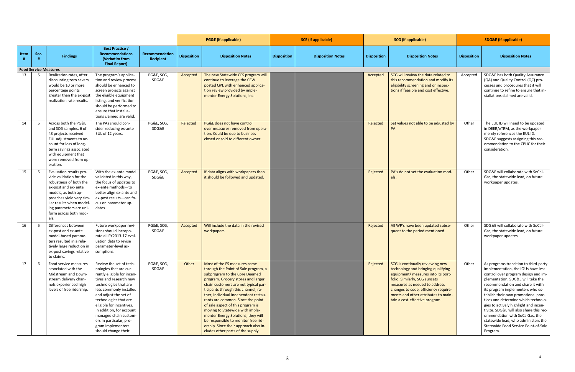|                              |      |                                                                                                                                                                                                                                                 |                                                                                                                                                                                                                                                                                                                                                                         | <b>PG&amp;E</b> (if applicable) | <b>SCE</b> (if applicable) |                                                                                                                                                                                                                                                                                                                                                                                                                                                                                                                                           | <b>SCG</b> (if applicable) |                          | <b>SDG&amp;E</b> (if applicable) |                                                                                                                                                                                                                                                                                                 |                    |                                                                                                                                                                                                                                                                                                                                                                                                                                                                                                                                |
|------------------------------|------|-------------------------------------------------------------------------------------------------------------------------------------------------------------------------------------------------------------------------------------------------|-------------------------------------------------------------------------------------------------------------------------------------------------------------------------------------------------------------------------------------------------------------------------------------------------------------------------------------------------------------------------|---------------------------------|----------------------------|-------------------------------------------------------------------------------------------------------------------------------------------------------------------------------------------------------------------------------------------------------------------------------------------------------------------------------------------------------------------------------------------------------------------------------------------------------------------------------------------------------------------------------------------|----------------------------|--------------------------|----------------------------------|-------------------------------------------------------------------------------------------------------------------------------------------------------------------------------------------------------------------------------------------------------------------------------------------------|--------------------|--------------------------------------------------------------------------------------------------------------------------------------------------------------------------------------------------------------------------------------------------------------------------------------------------------------------------------------------------------------------------------------------------------------------------------------------------------------------------------------------------------------------------------|
| Item<br>#                    | Sec. | <b>Findings</b>                                                                                                                                                                                                                                 | <b>Best Practice /</b><br><b>Recommendations</b><br>(Verbatim from<br><b>Final Report)</b>                                                                                                                                                                                                                                                                              | Recommendation<br>Recipient     | <b>Disposition</b>         | <b>Disposition Notes</b>                                                                                                                                                                                                                                                                                                                                                                                                                                                                                                                  | <b>Disposition</b>         | <b>Disposition Notes</b> | <b>Disposition</b>               | <b>Disposition Notes</b>                                                                                                                                                                                                                                                                        | <b>Disposition</b> | <b>Disposition Notes</b>                                                                                                                                                                                                                                                                                                                                                                                                                                                                                                       |
| <b>Food Service Measures</b> |      |                                                                                                                                                                                                                                                 |                                                                                                                                                                                                                                                                                                                                                                         |                                 |                            |                                                                                                                                                                                                                                                                                                                                                                                                                                                                                                                                           |                            |                          |                                  |                                                                                                                                                                                                                                                                                                 |                    |                                                                                                                                                                                                                                                                                                                                                                                                                                                                                                                                |
|                              |      | 13   5   Realization rates, after<br>discounting zero savers<br>would be 10 or more<br>percentage points<br>greater than the ex-post<br>realization rate results.                                                                               | The program's applica-<br>tion and review process<br>should be enhanced to<br>screen projects against<br>the eligible equipment<br>listing, and verification<br>should be performed to<br>ensure that installa-<br>tions claimed are valid.                                                                                                                             | PG&E, SCG,<br>SDG&E             | Accepted                   | The new Statewide CFS program will<br>continue to leverage the CEW<br>posted QPL with enhanced applica-<br>tion review provided by imple-<br>menter Energy Solutions, inc.                                                                                                                                                                                                                                                                                                                                                                |                            |                          | Accepted                         | SCG will review the data related to<br>this recommendation and modify its<br>eligibility screening and or inspec-<br>tions if feasible and cost effective.                                                                                                                                      | Accepted           | SDG&E has both Quality Assurance<br>(QA) and Quality Control (QC) pro-<br>cesses and procedures that it will<br>continue to refine to ensure that in-<br>stallations claimed are valid.                                                                                                                                                                                                                                                                                                                                        |
| 14                           |      | Across both the PG&E<br>and SCG samples, 6 of<br>43 projects received<br>EUL adjustments to ac-<br>count for loss of long-<br>term savings associated<br>with equipment that<br>were removed from op-<br>eration.                               | The PAs should con-<br>sider reducing ex-ante<br>EUL of 12 years.                                                                                                                                                                                                                                                                                                       | PG&E, SCG,<br>SDG&E             | Rejected                   | PG&E does not have control<br>over measures removed from opera-<br>tion. Could be due to business<br>closed or sold to different owner.                                                                                                                                                                                                                                                                                                                                                                                                   |                            |                          | Rejected                         | Set values not able to be adjusted by                                                                                                                                                                                                                                                           | Other              | The EUL ID will need to be updated<br>in DEER/eTRM, as the workpaper<br>merely references the EUL ID.<br>SDG&E suggests assigning this rec-<br>ommendation to the CPUC for their<br>consideration.                                                                                                                                                                                                                                                                                                                             |
| 15                           | - 5  | Evaluation results pro-<br>vide validation for the<br>robustness of both the<br>ex-post and ex- ante<br>models, as both ap-<br>proaches yield very sim-<br>ilar results when model-<br>ing parameters are uni-<br>form across both mod-<br>els. | With the ex-ante model<br>validated in this way,<br>the focus of updates to<br>ex-ante methods-to<br>better align ex-ante and<br>ex-post results-can fo-<br>cus on parameter up-<br>dates.                                                                                                                                                                              | PG&E, SCG,<br>SDG&E             | Accepted                   | If data aligns with workpapers then<br>it should be followed and updated.                                                                                                                                                                                                                                                                                                                                                                                                                                                                 |                            |                          | Rejected                         | PA's do not set the evaluation mod-<br><b>els</b>                                                                                                                                                                                                                                               | Other              | SDG&E will collaborate with SoCal-<br>Gas, the statewide lead, on future<br>workpaper updates.                                                                                                                                                                                                                                                                                                                                                                                                                                 |
| 16                           |      | Differences between<br>ex-post and ex-ante<br>model-based parame-<br>ters resulted in a rela-<br>tively large reduction in<br>ex-post savings relative<br>to claims.                                                                            | Future workpaper revi-<br>sions should incorpo-<br>rate all PY2013-17 eval-<br>uation data to revise<br>parameter-level as-<br>sumptions.                                                                                                                                                                                                                               | PG&E, SCG,<br>SDG&E             | Accepted                   | Will include the data in the revised<br>workpapers.                                                                                                                                                                                                                                                                                                                                                                                                                                                                                       |                            |                          | Rejected                         | All WP's have been updated subse-<br>quent to the period mentioned.                                                                                                                                                                                                                             | Other              | SDG&E will collaborate with SoCal-<br>Gas, the statewide lead, on future<br>workpaper updates.                                                                                                                                                                                                                                                                                                                                                                                                                                 |
| 17                           | 6    | Food service measures<br>associated with the<br>Midstream and Down-<br>stream delivery chan-<br>nels experienced high<br>levels of free ridership.                                                                                              | Review the set of tech-<br>nologies that are cur-<br>rently eligible for incen-<br>tives and research new<br>technologies that are<br>less commonly installed<br>and adjust the set of<br>technologies that are<br>eligible for incentives.<br>In addition, for account<br>managed chain custom-<br>ers in particular, pro-<br>gram implementers<br>should change their | PG&E, SCG,<br>SDG&E             | Other                      | Most of the FS measures came<br>through the Point of Sale program, a<br>subprogram to the Core Deemed<br>program. Grocery stores and larger<br>chain customers are not typical par-<br>ticipants through this channel, ra-<br>ther, individual independent restau-<br>rants are common. Since the point<br>of sale aspect of this program is<br>moving to Statewide with imple-<br>menter Energy Solutions, they will<br>be responsible to monitor free rid-<br>ership. Since their approach also in-<br>cludes other parts of the supply |                            |                          | Rejected                         | SCG is continually reviewing new<br>technology and bringing qualifying<br>equipment/ measures into its port-<br>folio. Similarly, SCG sunsets<br>measures as needed to address<br>changes to code, efficiency require-<br>ments and other attributes to main-<br>tain a cost-effective program. | Other              | As programs transition to third-party<br>implementation, the IOUs have less<br>control over program design and im-<br>plementation. SDG&E will take the<br>recommendation and share it with<br>its program implementers who es-<br>tablish their own promotional prac-<br>tices and determine which technolo-<br>gies to actively highlight and incen-<br>tivize. SDG&E will also share this rec-<br>ommendation with SoCalGas, the<br>statewide lead, who administers the<br>Statewide Food Service Point-of-Sale<br>Program. |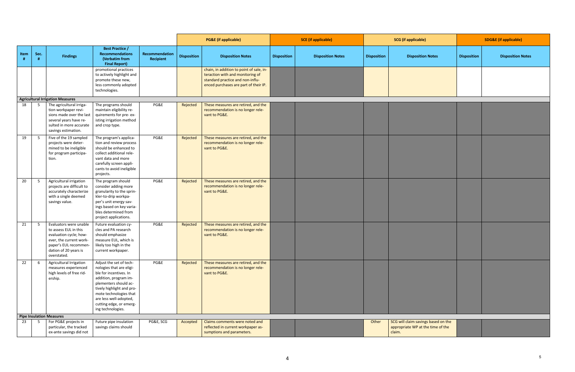|                                                                                                                                                                     |                                                                                                                                                                                                                                                                  |                             |                    | <b>PG&amp;E</b> (if applicable)                                                                                                                           |                    | <b>SCE</b> (if applicable) |                    | <b>SCG</b> (if applicable)                                                         |                    | <b>SDG&amp;E</b> (if applicable) |  |  |
|---------------------------------------------------------------------------------------------------------------------------------------------------------------------|------------------------------------------------------------------------------------------------------------------------------------------------------------------------------------------------------------------------------------------------------------------|-----------------------------|--------------------|-----------------------------------------------------------------------------------------------------------------------------------------------------------|--------------------|----------------------------|--------------------|------------------------------------------------------------------------------------|--------------------|----------------------------------|--|--|
| Sec.<br>Item<br><b>Findings</b><br>H                                                                                                                                | <b>Best Practice /</b><br><b>Recommendations</b><br>(Verbatim from<br><b>Final Report)</b>                                                                                                                                                                       | Recommendation<br>Recipient | <b>Disposition</b> | <b>Disposition Notes</b>                                                                                                                                  | <b>Disposition</b> | <b>Disposition Notes</b>   | <b>Disposition</b> | <b>Disposition Notes</b>                                                           | <b>Disposition</b> | <b>Disposition Notes</b>         |  |  |
|                                                                                                                                                                     | promotional practices<br>to actively highlight and<br>promote these new,<br>less commonly adopted<br>technologies.                                                                                                                                               |                             |                    | chain, in addition to point of sale, in-<br>teraction with and monitoring of<br>standard practice and non-influ-<br>enced purchases are part of their IP. |                    |                            |                    |                                                                                    |                    |                                  |  |  |
| <b>Agricultural Irrigation Measures</b>                                                                                                                             |                                                                                                                                                                                                                                                                  |                             |                    |                                                                                                                                                           |                    |                            |                    |                                                                                    |                    |                                  |  |  |
| 18<br>The agricultural irriga-<br>5<br>tion workpaper revi-<br>sions made over the last<br>several years have re-<br>sulted in more accurate<br>savings estimation. | The programs should<br>maintain eligibility re-<br>quirements for pre-ex-<br>isting irrigation method<br>and crop type.                                                                                                                                          | PG&E                        | Rejected           | These measures are retired, and the<br>recommendation is no longer rele-<br>vant to PG&E.                                                                 |                    |                            |                    |                                                                                    |                    |                                  |  |  |
| 19<br>Five of the 19 sampled<br>5<br>projects were deter-<br>mined to be ineligible<br>for program participa-<br>tion.                                              | The program's applica-<br>tion and review process<br>should be enhanced to<br>collect additional rele-<br>vant data and more<br>carefully screen appli-<br>cants to avoid ineligible<br>projects.                                                                | PG&E                        | Rejected           | These measures are retired, and the<br>recommendation is no longer rele-<br>vant to PG&E.                                                                 |                    |                            |                    |                                                                                    |                    |                                  |  |  |
| 20<br>Agricultural irrigation<br>5 <sup>5</sup><br>projects are difficult to<br>accurately characterize<br>with a single deemed<br>savings value.                   | The program should<br>consider adding more<br>granularity to the sprin-<br>kler-to-drip workpa-<br>per's unit energy sav-<br>ings based on key varia-<br>bles determined from<br>project applications.                                                           | PG&E                        | Rejected           | These measures are retired, and the<br>recommendation is no longer rele-<br>vant to PG&E.                                                                 |                    |                            |                    |                                                                                    |                    |                                  |  |  |
| 21<br>Evaluators were unable<br>- 5<br>to assess EUL in this<br>evaluation cycle; how-<br>ever, the current work-<br>dation of 20 years is<br>overstated.           | Future evaluation cy-<br>cles and PA research<br>should emphasize<br>measure EUL, which is<br>paper's EUL recommen-   likely too high in the<br>current workpaper.                                                                                               | PG&E                        | Rejected           | These measures are retired, and the<br>recommendation is no longer rele-<br>vant to PG&E.                                                                 |                    |                            |                    |                                                                                    |                    |                                  |  |  |
| 22 6 Agricultural Irrigation<br>measures experienced<br>high levels of free rid-<br>ership.                                                                         | Adjust the set of tech-<br>nologies that are eligi-<br>ble for incentives. In<br>addition, program im-<br>plementers should ac-<br>tively highlight and pro-<br>mote technologies that<br>are less well-adopted,<br>cutting edge, or emerg-<br>ing technologies. | PG&E                        | Rejected           | These measures are retired, and the<br>recommendation is no longer rele-<br>vant to PG&E.                                                                 |                    |                            |                    |                                                                                    |                    |                                  |  |  |
| <b>Pipe Insulation Measures</b>                                                                                                                                     |                                                                                                                                                                                                                                                                  |                             |                    |                                                                                                                                                           |                    |                            |                    |                                                                                    |                    |                                  |  |  |
| $\begin{array}{ c c c c c }\n\hline\n23 & 5 & \text{For PG&E projects in}\n\end{array}$<br>particular, the tracked<br>ex-ante savings did not                       | Future pipe insulation<br>savings claims should                                                                                                                                                                                                                  | PG&E, SCG                   | Accepted           | Claims comments were noted and<br>reflected in current workpaper as-<br>sumptions and parameters.                                                         |                    |                            | Other              | SCG will claim savings based on the<br>appropriate WP at the time of the<br>claim. |                    |                                  |  |  |